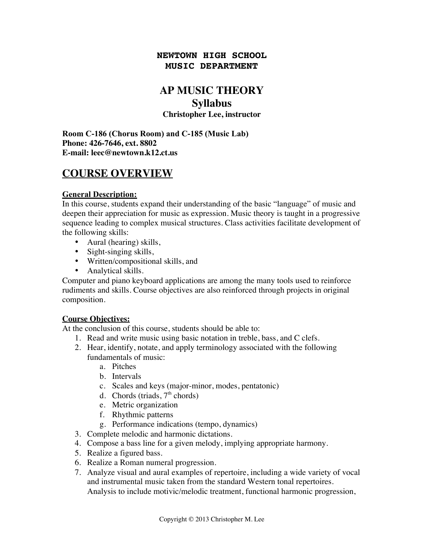## **NEWTOWN HIGH SCHOOL MUSIC DEPARTMENT**

# **AP MUSIC THEORY**

## **Syllabus**

### **Christopher Lee, instructor**

**Room C-186 (Chorus Room) and C-185 (Music Lab) Phone: 426-7646, ext. 8802 E-mail: leec@newtown.k12.ct.us**

# **COURSE OVERVIEW**

## **General Description:**

In this course, students expand their understanding of the basic "language" of music and deepen their appreciation for music as expression. Music theory is taught in a progressive sequence leading to complex musical structures. Class activities facilitate development of the following skills:

- Aural (hearing) skills,
- Sight-singing skills,
- Written/compositional skills, and
- Analytical skills.

Computer and piano keyboard applications are among the many tools used to reinforce rudiments and skills. Course objectives are also reinforced through projects in original composition.

## **Course Objectives:**

At the conclusion of this course, students should be able to:

- 1. Read and write music using basic notation in treble, bass, and C clefs.
- 2. Hear, identify, notate, and apply terminology associated with the following fundamentals of music:
	- a. Pitches
	- b. Intervals
	- c. Scales and keys (major-minor, modes, pentatonic)
	- d. Chords (triads,  $7<sup>th</sup>$  chords)
	- e. Metric organization
	- f. Rhythmic patterns
	- g. Performance indications (tempo, dynamics)
- 3. Complete melodic and harmonic dictations.
- 4. Compose a bass line for a given melody, implying appropriate harmony.
- 5. Realize a figured bass.
- 6. Realize a Roman numeral progression.
- 7. Analyze visual and aural examples of repertoire, including a wide variety of vocal and instrumental music taken from the standard Western tonal repertoires. Analysis to include motivic/melodic treatment, functional harmonic progression,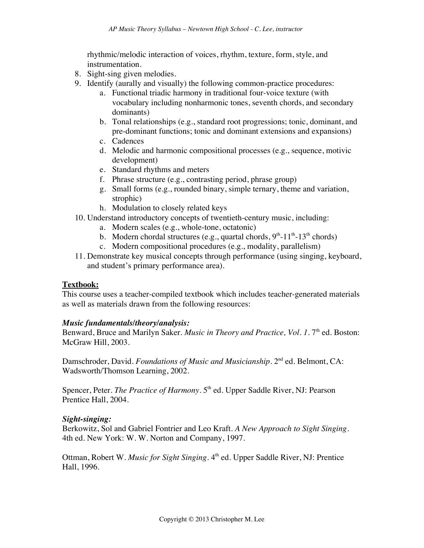rhythmic/melodic interaction of voices, rhythm, texture, form, style, and instrumentation.

- 8. Sight-sing given melodies.
- 9. Identify (aurally and visually) the following common-practice procedures:
	- a. Functional triadic harmony in traditional four-voice texture (with vocabulary including nonharmonic tones, seventh chords, and secondary dominants)
	- b. Tonal relationships (e.g., standard root progressions; tonic, dominant, and pre-dominant functions; tonic and dominant extensions and expansions)
	- c. Cadences
	- d. Melodic and harmonic compositional processes (e.g., sequence, motivic development)
	- e. Standard rhythms and meters
	- f. Phrase structure (e.g., contrasting period, phrase group)
	- g. Small forms (e.g., rounded binary, simple ternary, theme and variation, strophic)
	- h. Modulation to closely related keys
- 10. Understand introductory concepts of twentieth-century music, including:
	- a. Modern scales (e.g., whole-tone, octatonic)
	- b. Modern chordal structures (e.g., quartal chords,  $9<sup>th</sup>$ -11<sup>th</sup>-13<sup>th</sup> chords)
	- c. Modern compositional procedures (e.g., modality, parallelism)
- 11. Demonstrate key musical concepts through performance (using singing, keyboard, and student's primary performance area).

#### **Textbook:**

This course uses a teacher-compiled textbook which includes teacher-generated materials as well as materials drawn from the following resources:

#### *Music fundamentals/theory/analysis:*

Benward, Bruce and Marilyn Saker. *Music in Theory and Practice*, *Vol. 1.* 7<sup>th</sup> ed. Boston: McGraw Hill, 2003.

Damschroder, David. *Foundations of Music and Musicianship*. 2<sup>nd</sup> ed. Belmont, CA: Wadsworth/Thomson Learning, 2002.

Spencer, Peter. *The Practice of Harmony*. 5<sup>th</sup> ed. Upper Saddle River, NJ: Pearson Prentice Hall, 2004.

#### *Sight-singing:*

Berkowitz, Sol and Gabriel Fontrier and Leo Kraft. *A New Approach to Sight Singing*. 4th ed. New York: W. W. Norton and Company, 1997.

Ottman, Robert W. *Music for Sight Singing*. 4<sup>th</sup> ed. Upper Saddle River, NJ: Prentice Hall, 1996.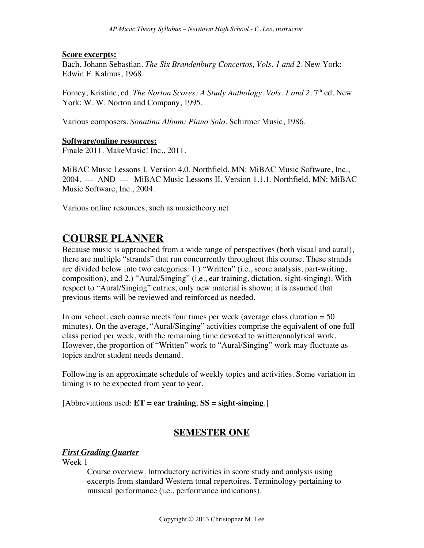#### **Score excerpts:**

Bach, Johann Sebastian. *The Six Brandenburg Concertos, Vols. 1 and 2*. New York: Edwin F. Kalmus, 1968.

Forney, Kristine, ed. *The Norton Scores: A Study Anthology. Vols. 1 and 2.* 7<sup>th</sup> ed. New York: W. W. Norton and Company, 1995.

Various composers. *Sonatina Album: Piano Solo*. Schirmer Music, 1986.

#### **Software/online resources:**

Finale 2011. MakeMusic! Inc., 2011.

MiBAC Music Lessons I. Version 4.0. Northfield, MN: MiBAC Music Software, Inc., 2004. --- AND --- MiBAC Music Lessons II. Version 1.1.1. Northfield, MN: MiBAC Music Software, Inc., 2004.

Various online resources, such as musictheory.net

## **COURSE PLANNER**

Because music is approached from a wide range of perspectives (both visual and aural), there are multiple "strands" that run concurrently throughout this course. These strands are divided below into two categories: 1.) "Written" (i.e., score analysis, part-writing, composition), and 2.) "Aural/Singing" (i.e., ear training, dictation, sight-singing). With respect to "Aural/Singing" entries, only new material is shown; it is assumed that previous items will be reviewed and reinforced as needed.

In our school, each course meets four times per week (average class duration  $= 50$ ) minutes). On the average, "Aural/Singing" activities comprise the equivalent of one full class period per week, with the remaining time devoted to written/analytical work. However, the proportion of "Written" work to "Aural/Singing" work may fluctuate as topics and/or student needs demand.

Following is an approximate schedule of weekly topics and activities. Some variation in timing is to be expected from year to year.

[Abbreviations used: **ET = ear training**; **SS = sight-singing**.]

## **SEMESTER ONE**

## *First Grading Quarter*

Week 1

Course overview. Introductory activities in score study and analysis using excerpts from standard Western tonal repertoires. Terminology pertaining to musical performance (i.e., performance indications).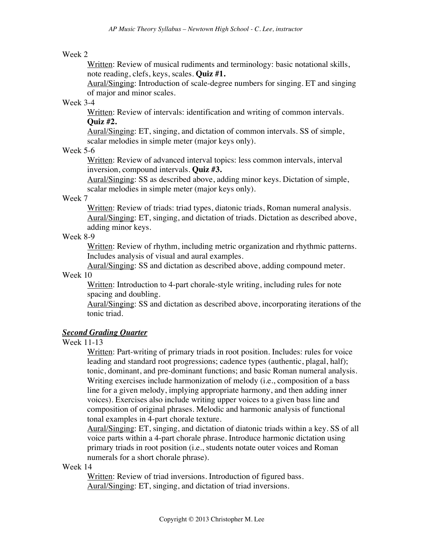#### Week 2

Written: Review of musical rudiments and terminology: basic notational skills, note reading, clefs, keys, scales. **Quiz #1.**

Aural/Singing: Introduction of scale-degree numbers for singing. ET and singing of major and minor scales.

#### Week 3-4

Written: Review of intervals: identification and writing of common intervals. **Quiz #2.**

Aural/Singing: ET, singing, and dictation of common intervals. SS of simple, scalar melodies in simple meter (major keys only).

#### Week 5-6

Written: Review of advanced interval topics: less common intervals, interval inversion, compound intervals. **Quiz #3.**

Aural/Singing: SS as described above, adding minor keys. Dictation of simple, scalar melodies in simple meter (major keys only).

#### Week 7

Written: Review of triads: triad types, diatonic triads, Roman numeral analysis. Aural/Singing: ET, singing, and dictation of triads. Dictation as described above, adding minor keys.

#### Week 8-9

Written: Review of rhythm, including metric organization and rhythmic patterns. Includes analysis of visual and aural examples.

Aural/Singing: SS and dictation as described above, adding compound meter. Week 10

Written: Introduction to 4-part chorale-style writing, including rules for note spacing and doubling.

Aural/Singing: SS and dictation as described above, incorporating iterations of the tonic triad.

## *Second Grading Quarter*

#### Week 11-13

Written: Part-writing of primary triads in root position. Includes: rules for voice leading and standard root progressions; cadence types (authentic, plagal, half); tonic, dominant, and pre-dominant functions; and basic Roman numeral analysis. Writing exercises include harmonization of melody (i.e., composition of a bass line for a given melody, implying appropriate harmony, and then adding inner voices). Exercises also include writing upper voices to a given bass line and composition of original phrases. Melodic and harmonic analysis of functional tonal examples in 4-part chorale texture.

Aural/Singing: ET, singing, and dictation of diatonic triads within a key. SS of all voice parts within a 4-part chorale phrase. Introduce harmonic dictation using primary triads in root position (i.e., students notate outer voices and Roman numerals for a short chorale phrase).

#### Week 14

Written: Review of triad inversions. Introduction of figured bass. Aural/Singing: ET, singing, and dictation of triad inversions.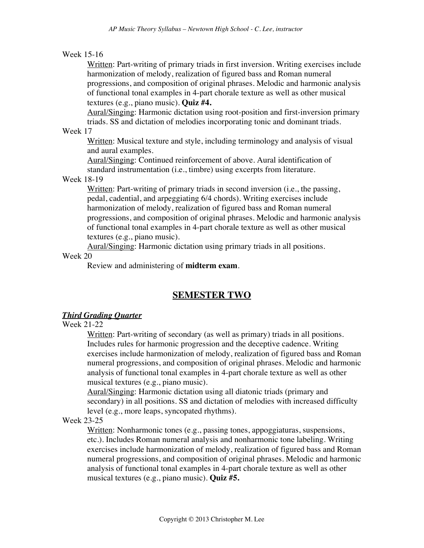#### Week 15-16

Written: Part-writing of primary triads in first inversion. Writing exercises include harmonization of melody, realization of figured bass and Roman numeral progressions, and composition of original phrases. Melodic and harmonic analysis of functional tonal examples in 4-part chorale texture as well as other musical textures (e.g., piano music). **Quiz #4.**

Aural/Singing: Harmonic dictation using root-position and first-inversion primary triads. SS and dictation of melodies incorporating tonic and dominant triads.

Week 17

Written: Musical texture and style, including terminology and analysis of visual and aural examples.

Aural/Singing: Continued reinforcement of above. Aural identification of standard instrumentation (i.e., timbre) using excerpts from literature.

#### Week 18-19

Written: Part-writing of primary triads in second inversion (i.e., the passing, pedal, cadential, and arpeggiating 6/4 chords). Writing exercises include harmonization of melody, realization of figured bass and Roman numeral progressions, and composition of original phrases. Melodic and harmonic analysis of functional tonal examples in 4-part chorale texture as well as other musical textures (e.g., piano music).

Aural/Singing: Harmonic dictation using primary triads in all positions.

#### Week 20

Review and administering of **midterm exam**.

## **SEMESTER TWO**

#### *Third Grading Quarter*

#### Week 21-22

Written: Part-writing of secondary (as well as primary) triads in all positions. Includes rules for harmonic progression and the deceptive cadence. Writing exercises include harmonization of melody, realization of figured bass and Roman numeral progressions, and composition of original phrases. Melodic and harmonic analysis of functional tonal examples in 4-part chorale texture as well as other musical textures (e.g., piano music).

Aural/Singing: Harmonic dictation using all diatonic triads (primary and secondary) in all positions. SS and dictation of melodies with increased difficulty level (e.g., more leaps, syncopated rhythms).

#### Week 23-25

Written: Nonharmonic tones (e.g., passing tones, appoggiaturas, suspensions, etc.). Includes Roman numeral analysis and nonharmonic tone labeling. Writing exercises include harmonization of melody, realization of figured bass and Roman numeral progressions, and composition of original phrases. Melodic and harmonic analysis of functional tonal examples in 4-part chorale texture as well as other musical textures (e.g., piano music). **Quiz #5.**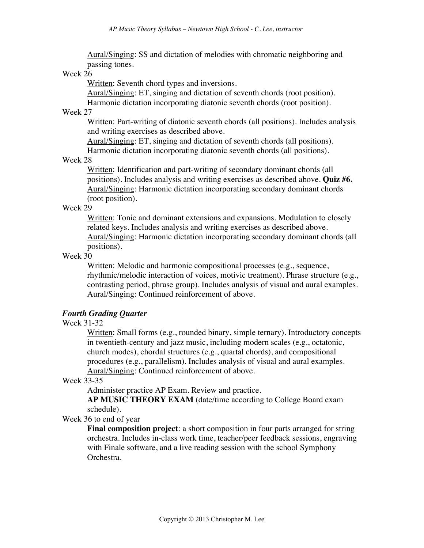Aural/Singing: SS and dictation of melodies with chromatic neighboring and passing tones.

#### Week 26

Written: Seventh chord types and inversions.

Aural/Singing: ET, singing and dictation of seventh chords (root position).

Harmonic dictation incorporating diatonic seventh chords (root position). Week 27

Written: Part-writing of diatonic seventh chords (all positions). Includes analysis and writing exercises as described above.

Aural/Singing: ET, singing and dictation of seventh chords (all positions). Harmonic dictation incorporating diatonic seventh chords (all positions).

#### Week 28

Written: Identification and part-writing of secondary dominant chords (all positions). Includes analysis and writing exercises as described above. **Quiz #6.** Aural/Singing: Harmonic dictation incorporating secondary dominant chords (root position).

#### Week 29

Written: Tonic and dominant extensions and expansions. Modulation to closely related keys. Includes analysis and writing exercises as described above. Aural/Singing: Harmonic dictation incorporating secondary dominant chords (all positions).

#### Week 30

Written: Melodic and harmonic compositional processes (e.g., sequence, rhythmic/melodic interaction of voices, motivic treatment). Phrase structure (e.g., contrasting period, phrase group). Includes analysis of visual and aural examples. Aural/Singing: Continued reinforcement of above.

#### *Fourth Grading Quarter*

#### Week 31-32

Written: Small forms (e.g., rounded binary, simple ternary). Introductory concepts in twentieth-century and jazz music, including modern scales (e.g., octatonic, church modes), chordal structures (e.g., quartal chords), and compositional procedures (e.g., parallelism). Includes analysis of visual and aural examples. Aural/Singing: Continued reinforcement of above.

#### Week 33-35

Administer practice AP Exam. Review and practice.

**AP MUSIC THEORY EXAM** (date/time according to College Board exam schedule).

Week 36 to end of year

**Final composition project**: a short composition in four parts arranged for string orchestra. Includes in-class work time, teacher/peer feedback sessions, engraving with Finale software, and a live reading session with the school Symphony Orchestra.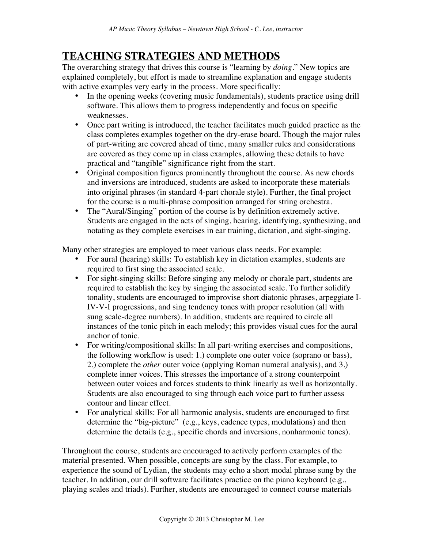# **TEACHING STRATEGIES AND METHODS**

The overarching strategy that drives this course is "learning by *doing*." New topics are explained completely, but effort is made to streamline explanation and engage students with active examples very early in the process. More specifically:

- In the opening weeks (covering music fundamentals), students practice using drill software. This allows them to progress independently and focus on specific weaknesses.
- Once part writing is introduced, the teacher facilitates much guided practice as the class completes examples together on the dry-erase board. Though the major rules of part-writing are covered ahead of time, many smaller rules and considerations are covered as they come up in class examples, allowing these details to have practical and "tangible" significance right from the start.
- Original composition figures prominently throughout the course. As new chords and inversions are introduced, students are asked to incorporate these materials into original phrases (in standard 4-part chorale style). Further, the final project for the course is a multi-phrase composition arranged for string orchestra.
- The "Aural/Singing" portion of the course is by definition extremely active. Students are engaged in the acts of singing, hearing, identifying, synthesizing, and notating as they complete exercises in ear training, dictation, and sight-singing.

Many other strategies are employed to meet various class needs. For example:

- For aural (hearing) skills: To establish key in dictation examples, students are required to first sing the associated scale.
- For sight-singing skills: Before singing any melody or chorale part, students are required to establish the key by singing the associated scale. To further solidify tonality, students are encouraged to improvise short diatonic phrases, arpeggiate I-IV-V-I progressions, and sing tendency tones with proper resolution (all with sung scale-degree numbers). In addition, students are required to circle all instances of the tonic pitch in each melody; this provides visual cues for the aural anchor of tonic.
- For writing/compositional skills: In all part-writing exercises and compositions, the following workflow is used: 1.) complete one outer voice (soprano or bass), 2.) complete the *other* outer voice (applying Roman numeral analysis), and 3.) complete inner voices. This stresses the importance of a strong counterpoint between outer voices and forces students to think linearly as well as horizontally. Students are also encouraged to sing through each voice part to further assess contour and linear effect.
- For analytical skills: For all harmonic analysis, students are encouraged to first determine the "big-picture" (e.g., keys, cadence types, modulations) and then determine the details (e.g., specific chords and inversions, nonharmonic tones).

Throughout the course, students are encouraged to actively perform examples of the material presented. When possible, concepts are sung by the class. For example, to experience the sound of Lydian, the students may echo a short modal phrase sung by the teacher. In addition, our drill software facilitates practice on the piano keyboard (e.g., playing scales and triads). Further, students are encouraged to connect course materials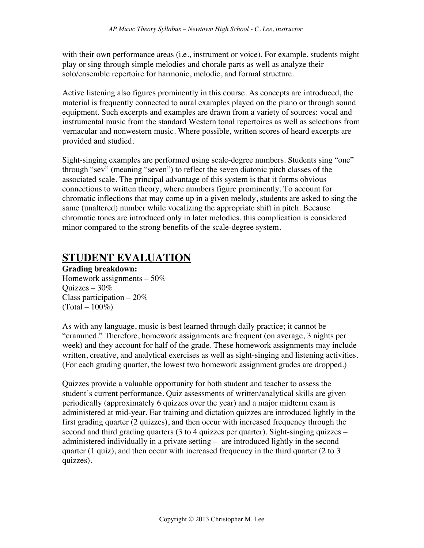with their own performance areas (i.e., instrument or voice). For example, students might play or sing through simple melodies and chorale parts as well as analyze their solo/ensemble repertoire for harmonic, melodic, and formal structure.

Active listening also figures prominently in this course. As concepts are introduced, the material is frequently connected to aural examples played on the piano or through sound equipment. Such excerpts and examples are drawn from a variety of sources: vocal and instrumental music from the standard Western tonal repertoires as well as selections from vernacular and nonwestern music. Where possible, written scores of heard excerpts are provided and studied.

Sight-singing examples are performed using scale-degree numbers. Students sing "one" through "sev" (meaning "seven") to reflect the seven diatonic pitch classes of the associated scale. The principal advantage of this system is that it forms obvious connections to written theory, where numbers figure prominently. To account for chromatic inflections that may come up in a given melody, students are asked to sing the same (unaltered) number while vocalizing the appropriate shift in pitch. Because chromatic tones are introduced only in later melodies, this complication is considered minor compared to the strong benefits of the scale-degree system.

# **STUDENT EVALUATION**

#### **Grading breakdown:**

Homework assignments – 50% Quizzes – 30% Class participation  $-20\%$  $(Total - 100\%)$ 

As with any language, music is best learned through daily practice; it cannot be "crammed." Therefore, homework assignments are frequent (on average, 3 nights per week) and they account for half of the grade. These homework assignments may include written, creative, and analytical exercises as well as sight-singing and listening activities. (For each grading quarter, the lowest two homework assignment grades are dropped.)

Quizzes provide a valuable opportunity for both student and teacher to assess the student's current performance. Quiz assessments of written/analytical skills are given periodically (approximately 6 quizzes over the year) and a major midterm exam is administered at mid-year. Ear training and dictation quizzes are introduced lightly in the first grading quarter (2 quizzes), and then occur with increased frequency through the second and third grading quarters (3 to 4 quizzes per quarter). Sight-singing quizzes – administered individually in a private setting – are introduced lightly in the second quarter (1 quiz), and then occur with increased frequency in the third quarter (2 to 3 quizzes).